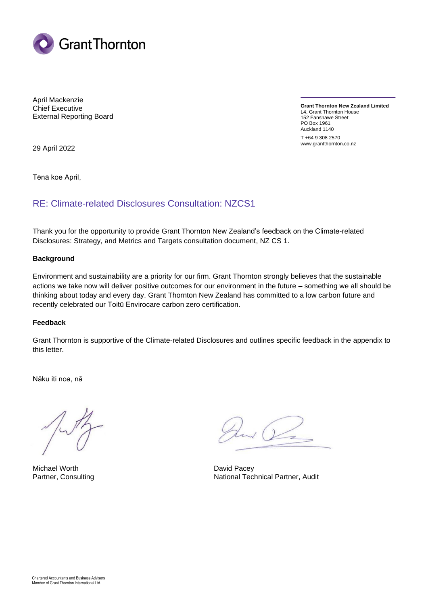

April Mackenzie Chief Executive External Reporting Board

**Grant Thornton New Zealand Limited** L4, Grant Thornton House 152 Fanshawe Street PO Box 1961 Auckland 1140 T +64 9 308 2570 www.grantthornton.co.nz

29 April 2022

Tēnā koe April,

## RE: Climate-related Disclosures Consultation: NZCS1

Thank you for the opportunity to provide Grant Thornton New Zealand's feedback on the Climate-related Disclosures: Strategy, and Metrics and Targets consultation document, NZ CS 1.

#### **Background**

Environment and sustainability are a priority for our firm. Grant Thornton strongly believes that the sustainable actions we take now will deliver positive outcomes for our environment in the future – something we all should be thinking about today and every day. Grant Thornton New Zealand has committed to a low carbon future and recently celebrated our Toitū Envirocare carbon zero certification.

#### **Feedback**

Grant Thornton is supportive of the Climate-related Disclosures and outlines specific feedback in the appendix to this letter.

Nāku iti noa, nā

Michael Worth **David Pacey** David Pacey

 $\sqrt{2}$ 

Partner, Consulting National Technical Partner, Audit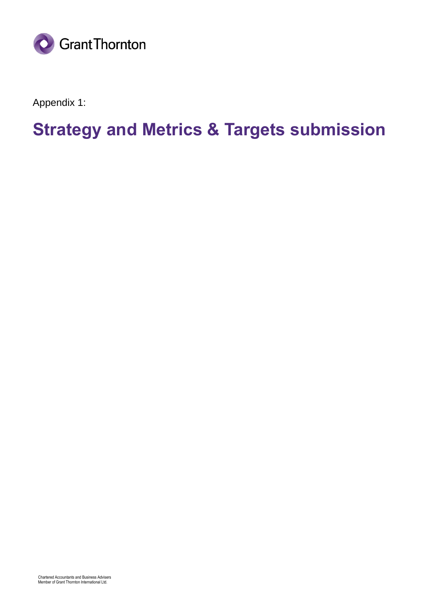

Appendix 1:

# **Strategy and Metrics & Targets submission**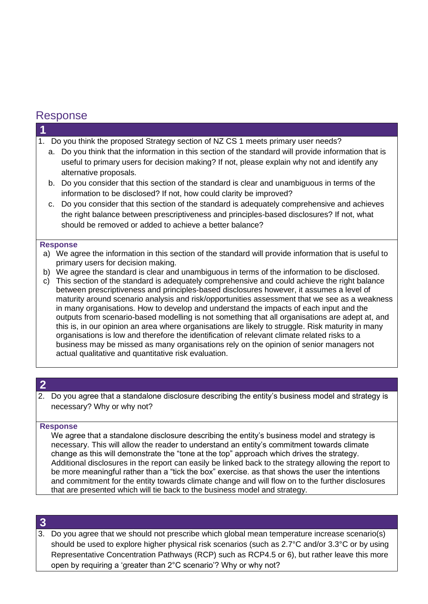# Response

**1**

- 1. Do you think the proposed Strategy section of NZ CS 1 meets primary user needs?
	- a. Do you think that the information in this section of the standard will provide information that is useful to primary users for decision making? If not, please explain why not and identify any alternative proposals.
	- b. Do you consider that this section of the standard is clear and unambiguous in terms of the information to be disclosed? If not, how could clarity be improved?
	- c. Do you consider that this section of the standard is adequately comprehensive and achieves the right balance between prescriptiveness and principles-based disclosures? If not, what should be removed or added to achieve a better balance?

#### **Response**

- a) We agree the information in this section of the standard will provide information that is useful to primary users for decision making.
- b) We agree the standard is clear and unambiguous in terms of the information to be disclosed.
- c) This section of the standard is adequately comprehensive and could achieve the right balance between prescriptiveness and principles-based disclosures however, it assumes a level of maturity around scenario analysis and risk/opportunities assessment that we see as a weakness in many organisations. How to develop and understand the impacts of each input and the outputs from scenario-based modelling is not something that all organisations are adept at, and this is, in our opinion an area where organisations are likely to struggle. Risk maturity in many organisations is low and therefore the identification of relevant climate related risks to a business may be missed as many organisations rely on the opinion of senior managers not actual qualitative and quantitative risk evaluation.

## **2**

2. Do you agree that a standalone disclosure describing the entity's business model and strategy is necessary? Why or why not?

#### **Response**

We agree that a standalone disclosure describing the entity's business model and strategy is necessary. This will allow the reader to understand an entity's commitment towards climate change as this will demonstrate the "tone at the top" approach which drives the strategy. Additional disclosures in the report can easily be linked back to the strategy allowing the report to be more meaningful rather than a "tick the box" exercise. as that shows the user the intentions and commitment for the entity towards climate change and will flow on to the further disclosures that are presented which will tie back to the business model and strategy.

## **3**

3. Do you agree that we should not prescribe which global mean temperature increase scenario(s) should be used to explore higher physical risk scenarios (such as 2.7°C and/or 3.3°C or by using Representative Concentration Pathways (RCP) such as RCP4.5 or 6), but rather leave this more open by requiring a 'greater than 2°C scenario'? Why or why not?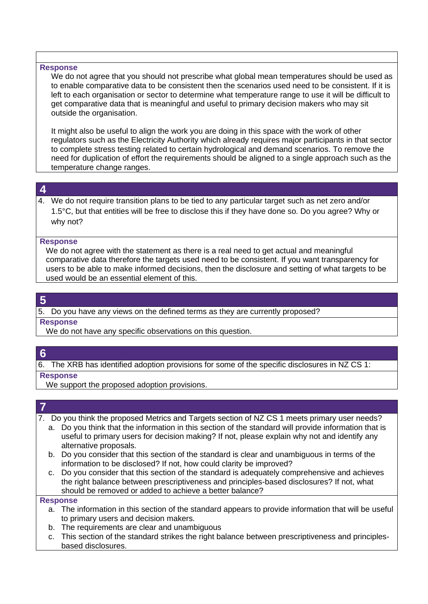#### **Response**

We do not agree that you should not prescribe what global mean temperatures should be used as to enable comparative data to be consistent then the scenarios used need to be consistent. If it is left to each organisation or sector to determine what temperature range to use it will be difficult to get comparative data that is meaningful and useful to primary decision makers who may sit outside the organisation.

It might also be useful to align the work you are doing in this space with the work of other regulators such as the Electricity Authority which already requires major participants in that sector to complete stress testing related to certain hydrological and demand scenarios. To remove the need for duplication of effort the requirements should be aligned to a single approach such as the temperature change ranges.

#### **4**

4. We do not require transition plans to be tied to any particular target such as net zero and/or 1.5°C, but that entities will be free to disclose this if they have done so. Do you agree? Why or why not?

#### **Response**

We do not agree with the statement as there is a real need to get actual and meaningful comparative data therefore the targets used need to be consistent. If you want transparency for users to be able to make informed decisions, then the disclosure and setting of what targets to be used would be an essential element of this.

## **5**

#### 5. Do you have any views on the defined terms as they are currently proposed?

#### **Response**

We do not have any specific observations on this question.

#### **6**

6. The XRB has identified adoption provisions for some of the specific disclosures in NZ CS 1:

#### **Response**

We support the proposed adoption provisions.

## **7**

7. Do you think the proposed Metrics and Targets section of NZ CS 1 meets primary user needs?

- a. Do you think that the information in this section of the standard will provide information that is useful to primary users for decision making? If not, please explain why not and identify any alternative proposals.
- b. Do you consider that this section of the standard is clear and unambiguous in terms of the information to be disclosed? If not, how could clarity be improved?
- c. Do you consider that this section of the standard is adequately comprehensive and achieves the right balance between prescriptiveness and principles-based disclosures? If not, what should be removed or added to achieve a better balance?

#### **Response**

- a. The information in this section of the standard appears to provide information that will be useful to primary users and decision makers.
- b. The requirements are clear and unambiguous
- c. This section of the standard strikes the right balance between prescriptiveness and principlesbased disclosures.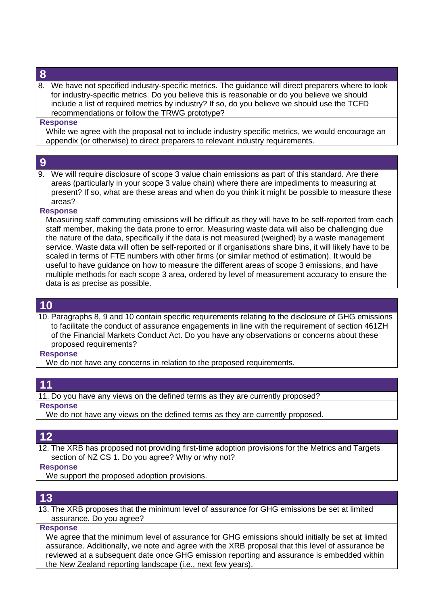## **8**

8. We have not specified industry-specific metrics. The guidance will direct preparers where to look for industry-specific metrics. Do you believe this is reasonable or do you believe we should include a list of required metrics by industry? If so, do you believe we should use the TCFD recommendations or follow the TRWG prototype?

#### **Response**

While we agree with the proposal not to include industry specific metrics, we would encourage an appendix (or otherwise) to direct preparers to relevant industry requirements.

## **9**

9. We will require disclosure of scope 3 value chain emissions as part of this standard. Are there areas (particularly in your scope 3 value chain) where there are impediments to measuring at present? If so, what are these areas and when do you think it might be possible to measure these areas?

#### **Response**

Measuring staff commuting emissions will be difficult as they will have to be self-reported from each staff member, making the data prone to error. Measuring waste data will also be challenging due the nature of the data, specifically if the data is not measured (weighed) by a waste management service. Waste data will often be self-reported or if organisations share bins, it will likely have to be scaled in terms of FTE numbers with other firms (or similar method of estimation). It would be useful to have guidance on how to measure the different areas of scope 3 emissions, and have multiple methods for each scope 3 area, ordered by level of measurement accuracy to ensure the data is as precise as possible.

## **10**

10. Paragraphs 8, 9 and 10 contain specific requirements relating to the disclosure of GHG emissions to facilitate the conduct of assurance engagements in line with the requirement of section 461ZH of the Financial Markets Conduct Act. Do you have any observations or concerns about these proposed requirements?

#### **Response**

We do not have any concerns in relation to the proposed requirements.

## **11**

11. Do you have any views on the defined terms as they are currently proposed?

**Response**

We do not have any views on the defined terms as they are currently proposed.

## **12**

12. The XRB has proposed not providing first-time adoption provisions for the Metrics and Targets section of NZ CS 1. Do you agree? Why or why not?

#### **Response**

We support the proposed adoption provisions.

# **13**

13. The XRB proposes that the minimum level of assurance for GHG emissions be set at limited assurance. Do you agree?

#### **Response**

We agree that the minimum level of assurance for GHG emissions should initially be set at limited assurance. Additionally, we note and agree with the XRB proposal that this level of assurance be reviewed at a subsequent date once GHG emission reporting and assurance is embedded within the New Zealand reporting landscape (i.e., next few years).